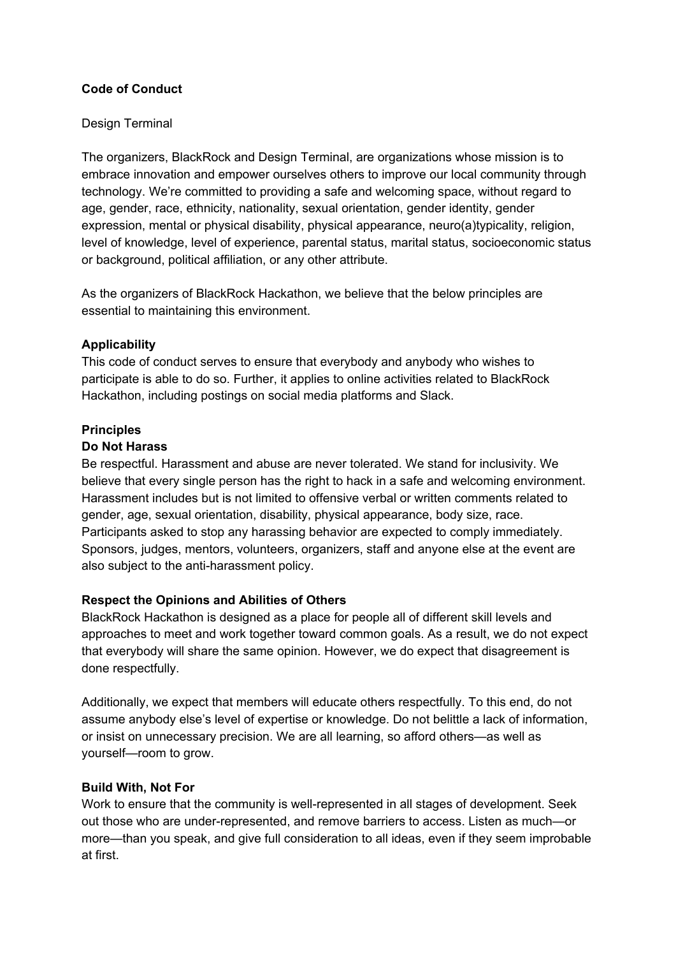## **Code of Conduct**

## Design Terminal

The organizers, BlackRock and Design Terminal, are organizations whose mission is to embrace innovation and empower ourselves others to improve our local community through technology. We're committed to providing a safe and welcoming space, without regard to age, gender, race, ethnicity, nationality, sexual orientation, gender identity, gender expression, mental or physical disability, physical appearance, neuro(a)typicality, religion, level of knowledge, level of experience, parental status, marital status, socioeconomic status or background, political affiliation, or any other attribute.

As the organizers of BlackRock Hackathon, we believe that the below principles are essential to maintaining this environment.

## **Applicability**

This code of conduct serves to ensure that everybody and anybody who wishes to participate is able to do so. Further, it applies to online activities related to BlackRock Hackathon, including postings on social media platforms and Slack.

#### **Principles**

#### **Do Not Harass**

Be respectful. Harassment and abuse are never tolerated. We stand for inclusivity. We believe that every single person has the right to hack in a safe and welcoming environment. Harassment includes but is not limited to offensive verbal or written comments related to gender, age, sexual orientation, disability, physical appearance, body size, race. Participants asked to stop any harassing behavior are expected to comply immediately. Sponsors, judges, mentors, volunteers, organizers, staff and anyone else at the event are also subject to the anti-harassment policy.

#### **Respect the Opinions and Abilities of Others**

BlackRock Hackathon is designed as a place for people all of different skill levels and approaches to meet and work together toward common goals. As a result, we do not expect that everybody will share the same opinion. However, we do expect that disagreement is done respectfully.

Additionally, we expect that members will educate others respectfully. To this end, do not assume anybody else's level of expertise or knowledge. Do not belittle a lack of information, or insist on unnecessary precision. We are all learning, so afford others—as well as yourself—room to grow.

#### **Build With, Not For**

Work to ensure that the community is well-represented in all stages of development. Seek out those who are under-represented, and remove barriers to access. Listen as much—or more—than you speak, and give full consideration to all ideas, even if they seem improbable at first.